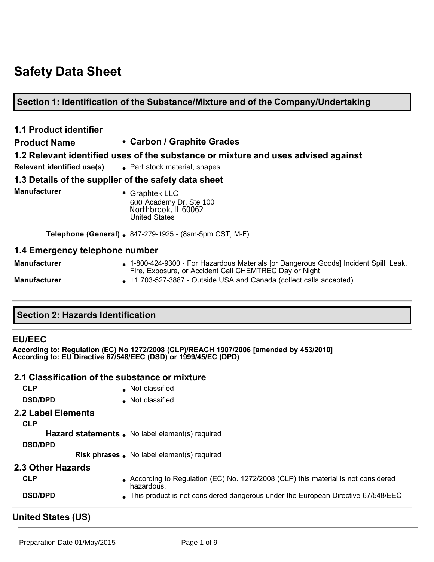# **Safety Data Sheet**

#### **Section 1: Identification of the Substance/Mixture and of the Company/Undertaking**

# **1.1 Product identifier Product Name • Carbon / Graphite Grades 1.2 Relevant identified uses of the substance or mixture and uses advised against Relevant identified use(s)** <br>**e** Part stock material, shapes **1.3 Details of the supplier of the safety data sheet Manufacturer e** Graphtek LLC 600 Academy Dr, Ste 100<br>Northbrook, IL 60062 United States **Telephone (General) .** 847-279-1925 - (8am-5pm CST, M-F) **1.4 Emergency telephone number Manufacturer • 1800-424-9300 - For Hazardous Materials [or Dangerous Goods] Incident Spill, Leak,** Fire, Exposure, or Accident Call CHEMTREC Day or Night

#### **Section 2: Hazards Identification**

#### **EU/EEC**

#### **2.1 Classification of the substance or mixture**

|                                               | Northbrook, IL 60062<br><b>United States</b>                                                                                                                                                                                                      |
|-----------------------------------------------|---------------------------------------------------------------------------------------------------------------------------------------------------------------------------------------------------------------------------------------------------|
|                                               | Telephone (General) . 847-279-1925 - (8am-5pm CST, M-F)                                                                                                                                                                                           |
| 1.4 Emergency telephone number                |                                                                                                                                                                                                                                                   |
| <b>Manufacturer</b>                           | • 1-800-424-9300 - For Hazardous Materials [or Dangerous Goods] Incident Spill, Leak,                                                                                                                                                             |
| <b>Manufacturer</b>                           | Fire, Exposure, or Accident Call CHEMTREC Day or Night<br>• +1 703-527-3887 - Outside USA and Canada (collect calls accepted)                                                                                                                     |
| <b>Section 2: Hazards Identification</b>      |                                                                                                                                                                                                                                                   |
| <b>EU/EEC</b><br><b>CLP</b><br><b>DSD/DPD</b> | According to: Regulation (EC) No 1272/2008 (CLP)/REACH 1907/2006 [amended by 453/2010]<br>According to: EU Directive 67/548/EEC (DSD) or 1999/45/EC (DPD)<br>2.1 Classification of the substance or mixture<br>Not classified<br>• Not classified |
| 2.2 Label Elements<br><b>CLP</b>              |                                                                                                                                                                                                                                                   |
| <b>DSD/DPD</b>                                | Hazard statements . No label element(s) required                                                                                                                                                                                                  |
|                                               | Risk phrases . No label element(s) required                                                                                                                                                                                                       |
| 2.3 Other Hazards                             |                                                                                                                                                                                                                                                   |
| <b>CLP</b>                                    | • According to Regulation (EC) No. 1272/2008 (CLP) this material is not considered<br>hazardous.                                                                                                                                                  |
| <b>DSD/DPD</b>                                | This product is not considered dangerous under the European Directive 67/548/EEC                                                                                                                                                                  |
| <b>United States (US)</b>                     |                                                                                                                                                                                                                                                   |
| Preparation Date 01/May/2015                  | Page 1 of 9                                                                                                                                                                                                                                       |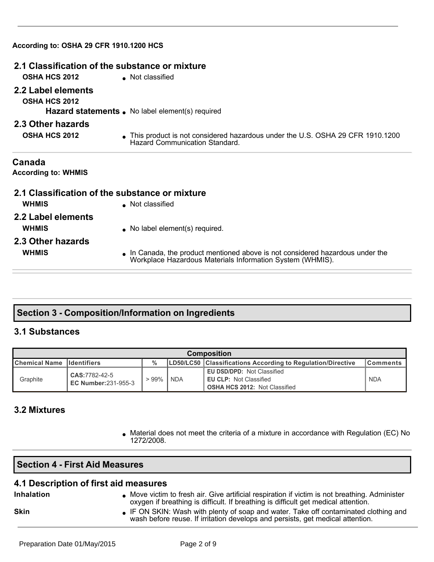| According to: OSHA 29 CFR 1910.1200 HCS                                                                                                   |
|-------------------------------------------------------------------------------------------------------------------------------------------|
| 2.1 Classification of the substance or mixture                                                                                            |
| Not classified                                                                                                                            |
|                                                                                                                                           |
| <b>Hazard statements.</b> No label element(s) required                                                                                    |
|                                                                                                                                           |
| • This product is not considered hazardous under the U.S. OSHA 29 CFR 1910.1200<br>Hazard Communication Standard.                         |
|                                                                                                                                           |
| 2.1 Classification of the substance or mixture                                                                                            |
| • Not classified                                                                                                                          |
|                                                                                                                                           |
| • No label element(s) required.                                                                                                           |
|                                                                                                                                           |
| In Canada, the product mentioned above is not considered hazardous under the<br>Workplace Hazardous Materials Information System (WHMIS). |
|                                                                                                                                           |

# **Section 3 Composition/Information on Ingredients**

## **3.1 Substances**

| <b>Composition</b>         |                                             |               |  |                                                                                                            |                 |
|----------------------------|---------------------------------------------|---------------|--|------------------------------------------------------------------------------------------------------------|-----------------|
| Chemical Name Ildentifiers |                                             | $\frac{0}{0}$ |  | LD50/LC50 Classifications According to Regulation/Directive                                                | <b>Comments</b> |
| Graphite                   | CAS:7782-42-5<br><b>EC Number:231-955-3</b> | > 99% ∣NDA    |  | <b>EU DSD/DPD: Not Classified</b><br><b>EU CLP: Not Classified</b><br><b>OSHA HCS 2012: Not Classified</b> | <b>NDA</b>      |

#### **3.2 Mixtures**

**Inhalation**

**Skin**

• Material does not meet the criteria of a mixture in accordance with Regulation (EC) No 1272/2008.

|   | <b>Section 4 - First Aid Measures</b> |  |  |  |
|---|---------------------------------------|--|--|--|
| . | .                                     |  |  |  |

#### **4.1 Description of first aid measures**

- $\bullet$  Move victim to fresh air. Give artificial respiration if victim is not breathing. Administer oxygen if breathing is difficult. If breathing is difficult get medical attention.
	- . IF ON SKIN: Wash with plenty of soap and water. Take off contaminated clothing and wash before reuse. If irritation develops and persists, get medical attention.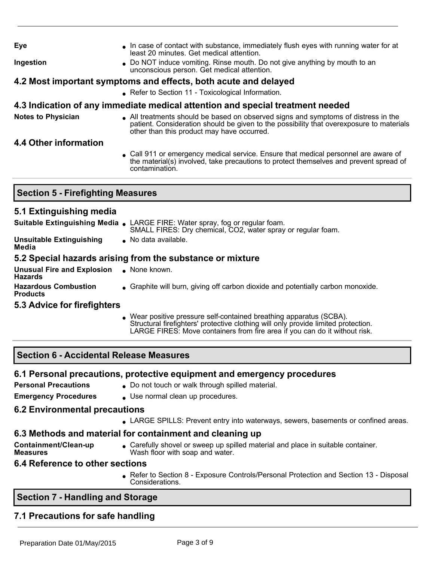| Eye                                      | In case of contact with substance, immediately flush eyes with running water for at<br>least 20 minutes. Get medical attention.                                                                                              |
|------------------------------------------|------------------------------------------------------------------------------------------------------------------------------------------------------------------------------------------------------------------------------|
| Ingestion                                | • Do NOT induce vomiting. Rinse mouth. Do not give anything by mouth to an<br>unconscious person. Get medical attention.                                                                                                     |
|                                          | 4.2 Most important symptoms and effects, both acute and delayed                                                                                                                                                              |
|                                          | • Refer to Section 11 - Toxicological Information.                                                                                                                                                                           |
|                                          | 4.3 Indication of any immediate medical attention and special treatment needed                                                                                                                                               |
| <b>Notes to Physician</b>                | • All treatments should be based on observed signs and symptoms of distress in the<br>patient. Consideration should be given to the possibility that overexposure to materials<br>other than this product may have occurred. |
| 4.4 Other information                    |                                                                                                                                                                                                                              |
|                                          | • Call 911 or emergency medical service. Ensure that medical personnel are aware of<br>the material(s) involved, take precautions to protect themselves and prevent spread of<br>contamination.                              |
|                                          |                                                                                                                                                                                                                              |
| <b>Section 5 - Firefighting Measures</b> |                                                                                                                                                                                                                              |

#### **5.1 Extinguishing media**

|                                                     | Suitable Extinguishing Media . LARGE FIRE: Water spray, fog or regular foam.<br>SMALL FIRES: Dry chemical, CO2, water spray or regular foam. |
|-----------------------------------------------------|----------------------------------------------------------------------------------------------------------------------------------------------|
| <b>Unsuitable Extinguishing</b><br>Media            | No data available.                                                                                                                           |
|                                                     | 5.2 Special hazards arising from the substance or mixture                                                                                    |
| <b>Unusual Fire and Explosion</b><br><b>Hazards</b> | $\bullet$ None known.                                                                                                                        |
| <b>Hazardous Combustion</b><br><b>Products</b>      | • Graphite will burn, giving off carbon dioxide and potentially carbon monoxide.                                                             |
|                                                     |                                                                                                                                              |

#### **5.3 Advice for firefighters**

• Wear positive pressure self-contained breathing apparatus (SCBA). Structural firefighters' protective clothing will only provide limited protection. LARGE FIRES: Move containers from fire area if you can do it without risk.

#### **Section 6 Accidental Release Measures**

## **6.1 Personal precautions, protective equipment and emergency procedures**

**Personal Precautions** . Do not touch or walk through spilled material.

**Emergency Procedures** • Use normal clean up procedures.

## **6.2 Environmental precautions**

LARGE SPILLS: Prevent entry into waterways, sewers, basements or confined areas.

## **6.3 Methods and material for containment and cleaning up**

- **Containment/Clean-up Measures**
- Carefully shovel or sweep up spilled material and place in suitable container. Wash floor with soap and water.

## **6.4 Reference to other sections**

• Refer to Section 8 - Exposure Controls/Personal Protection and Section 13 - Disposal Considerations.

# **Section 7 Handling and Storage**

# **7.1 Precautions for safe handling**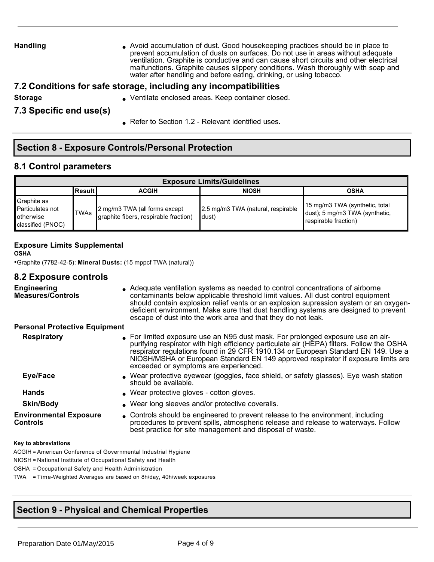Handling **langling** Avoid accumulation of dust. Good housekeeping practices should be in place to prevent accumulation of dusts on surfaces. Do not use in areas without adequate ventilation. Graphite is conductive and can cause short circuits and other electrical malfunctions. Graphite causes slippery conditions. Wash thoroughly with soap and water after handling and before eating, drinking, or using tobacco.

#### **7.2 Conditions for safe storage, including any incompatibilities**

- 
- **Storage Storage Storage areas. Keep container closed.** Ventilate enclosed areas. Keep container closed.

**7.3 Specific end use(s)**

Refer to Section 1.2 - Relevant identified uses.

#### **Section 8 Exposure Controls/Personal Protection**

#### **8.1 Control parameters**

| <b>Exposure Limits/Guidelines</b>                                          |                |                                                                        |                                              |                                                                                          |  |
|----------------------------------------------------------------------------|----------------|------------------------------------------------------------------------|----------------------------------------------|------------------------------------------------------------------------------------------|--|
|                                                                            | <b>ResultI</b> | <b>ACGIH</b>                                                           | <b>NIOSH</b>                                 | <b>OSHA</b>                                                                              |  |
| Graphite as<br>Particulates not<br><b>l</b> otherwise<br>classified (PNOC) | TWAs           | 2 mg/m3 TWA (all forms except<br>graphite fibers, respirable fraction) | 2.5 mg/m3 TWA (natural, respirable<br>ldust) | 15 mg/m3 TWA (synthetic, total<br>dust); 5 mg/m3 TWA (synthetic,<br>respirable fraction) |  |

#### **Exposure Limits Supplemental**

**OSHA**

•Graphite (7782425): **Mineral Dusts:** (15 mppcf TWA (natural))

#### **8.2 Exposure controls**

| <b>Engineering</b><br><b>Measures/Controls</b>   | • Adequate ventilation systems as needed to control concentrations of airborne<br>contaminants below applicable threshold limit values. All dust control equipment<br>should contain explosion relief vents or an explosion supression system or an oxygen-<br>deficient environment. Make sure that dust handling systems are designed to prevent<br>escape of dust into the work area and that they do not leak. |
|--------------------------------------------------|--------------------------------------------------------------------------------------------------------------------------------------------------------------------------------------------------------------------------------------------------------------------------------------------------------------------------------------------------------------------------------------------------------------------|
| <b>Personal Protective Equipment</b>             |                                                                                                                                                                                                                                                                                                                                                                                                                    |
| <b>Respiratory</b>                               | • For limited exposure use an N95 dust mask. For prolonged exposure use an air-<br>purifying respirator with high efficiency particulate air (HEPA) filters. Follow the OSHA<br>respirator regulations found in 29 CFR 1910.134 or European Standard EN 149. Use a<br>NIOSH/MSHA or European Standard EN 149 approved respirator if exposure limits are<br>exceeded or symptoms are experienced.                   |
| Eye/Face                                         | • Wear protective eyewear (goggles, face shield, or safety glasses). Eye wash station<br>should be available.                                                                                                                                                                                                                                                                                                      |
| <b>Hands</b>                                     | • Wear protective gloves - cotton gloves.                                                                                                                                                                                                                                                                                                                                                                          |
| <b>Skin/Body</b>                                 | • Wear long sleeves and/or protective coveralls.                                                                                                                                                                                                                                                                                                                                                                   |
| <b>Environmental Exposure</b><br><b>Controls</b> | • Controls should be engineered to prevent release to the environment, including<br>procedures to prevent spills, atmospheric release and release to waterways. Follow<br>best practice for site management and disposal of waste.                                                                                                                                                                                 |
|                                                  |                                                                                                                                                                                                                                                                                                                                                                                                                    |

#### **Key to abbreviations**

ACGIH = American Conference of Governmental Industrial Hygiene

NIOSH = National Institute of Occupational Safety and Health

OSHA = Occupational Safety and Health Administration

TWA = Time-Weighted Averages are based on 8h/day, 40h/week exposures

## **Section 9 Physical and Chemical Properties**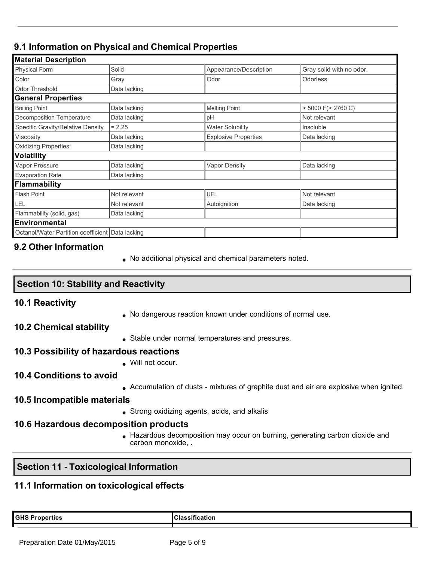# **9.1 Information on Physical and Chemical Properties**

| <b>Material Description</b>                        |              |                             |                          |
|----------------------------------------------------|--------------|-----------------------------|--------------------------|
| <b>Physical Form</b>                               | Solid        | Appearance/Description      | Gray solid with no odor. |
| Color                                              | Gray         | Odor                        | Odorless                 |
| <b>Odor Threshold</b>                              | Data lacking |                             |                          |
| <b>General Properties</b>                          |              |                             |                          |
| <b>Boiling Point</b>                               | Data lacking | <b>Melting Point</b>        | $>$ 5000 F( $>$ 2760 C)  |
| Decomposition Temperature                          | Data lacking | pH                          | Not relevant             |
| Specific Gravity/Relative Density                  | $= 2.25$     | <b>Water Solubility</b>     | Insoluble                |
| Viscosity                                          | Data lacking | <b>Explosive Properties</b> | Data lacking             |
| <b>Oxidizing Properties:</b>                       | Data lacking |                             |                          |
| Volatility                                         |              |                             |                          |
| Vapor Pressure                                     | Data lacking | <b>Vapor Density</b>        | Data lacking             |
| <b>Evaporation Rate</b>                            | Data lacking |                             |                          |
| <b>Flammability</b>                                |              |                             |                          |
| <b>Flash Point</b>                                 | Not relevant | <b>UEL</b>                  | Not relevant             |
| LEL                                                | Not relevant | Autoignition                | Data lacking             |
| Flammability (solid, gas)                          | Data lacking |                             |                          |
| <b>Environmental</b>                               |              |                             |                          |
| Octanol/Water Partition coefficient   Data lacking |              |                             |                          |

#### **9.2 Other Information**

. No additional physical and chemical parameters noted.

| Section 10: Stability and Reactivity |  |  |  |
|--------------------------------------|--|--|--|
|--------------------------------------|--|--|--|

#### **10.1 Reactivity**

- No dangerous reaction known under conditions of normal use.
- **10.2 Chemical stability**
- Stable under normal temperatures and pressures.

#### **10.3 Possibility of hazardous reactions**

. Will not occur.

#### **10.4 Conditions to avoid**

• Accumulation of dusts - mixtures of graphite dust and air are explosive when ignited.

#### **10.5 Incompatible materials**

 $\bullet$  Strong oxidizing agents, acids, and alkalis

#### **10.6 Hazardous decomposition products**

<sup>l</sup> Hazardous decomposition may occur on burning, generating carbon dioxide and carbon monoxide, .

#### **Section 11 - Toxicological Information**

## **11.1 Information on toxicological effects**

**GHS Properties Classification**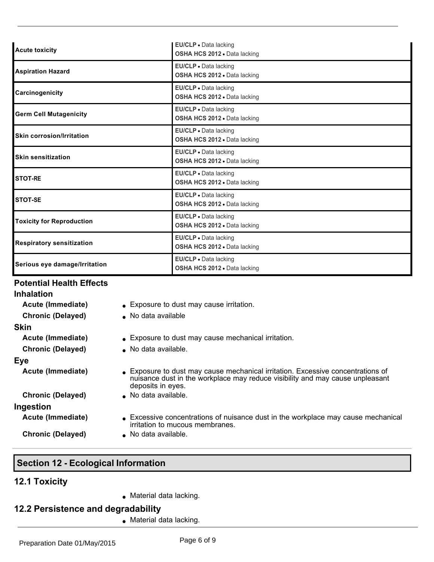| <b>Acute toxicity</b>            | EU/CLP · Data lacking<br>OSHA HCS 2012 . Data lacking        |
|----------------------------------|--------------------------------------------------------------|
| <b>Aspiration Hazard</b>         | EU/CLP . Data lacking<br>OSHA HCS 2012 . Data lacking        |
| Carcinogenicity                  | EU/CLP . Data lacking<br>OSHA HCS 2012 . Data lacking        |
| <b>Germ Cell Mutagenicity</b>    | EU/CLP . Data lacking<br><b>OSHA HCS 2012 - Data lacking</b> |
| <b>Skin corrosion/Irritation</b> | EU/CLP · Data lacking<br>OSHA HCS 2012 . Data lacking        |
| <b>Skin sensitization</b>        | EU/CLP · Data lacking<br>OSHA HCS 2012 · Data lacking        |
| <b>STOT-RE</b>                   | EU/CLP . Data lacking<br>OSHA HCS 2012 · Data lacking        |
| <b>STOT-SE</b>                   | EU/CLP · Data lacking<br>OSHA HCS 2012 . Data lacking        |
| <b>Toxicity for Reproduction</b> | EU/CLP . Data lacking<br>OSHA HCS 2012 · Data lacking        |
| <b>Respiratory sensitization</b> | EU/CLP . Data lacking<br>OSHA HCS 2012 · Data lacking        |
| Serious eye damage/Irritation    | EU/CLP . Data lacking<br>OSHA HCS 2012 . Data lacking        |

#### **Potential Health Effects**

| <b>Inhalation</b>        |
|--------------------------|
| Acute (Immediate)        |
| <b>Chronic (Delayed)</b> |
| Skin                     |
| Acute (Immediate)        |
| <b>Chronic (Delayed)</b> |

**Eye**

**Ingestion**

- **A** Exposure to dust may cause irritation.
- **No data available**
- **A** Exposure to dust may cause mechanical irritation.
- **No data available.**
- Acute (Immediate) **acute (Immediate)** Exposure to dust may cause mechanical irritation. Excessive concentrations of nuisance dust in the workplace may reduce visibility and may cause unpleasant deposits in eyes.
- **Chronic (Delayed)** . No data available.
- Acute (Immediate) **Excessive concentrations of nuisance dust in the workplace may cause mechanical** irritation to mucous membranes.
- **Chronic (Delayed)** . No data available.

#### **Section 12 Ecological Information**

#### **12.1 Toxicity**

 $\bullet$  Material data lacking.

#### **12.2 Persistence and degradability**

 $\bullet$  Material data lacking.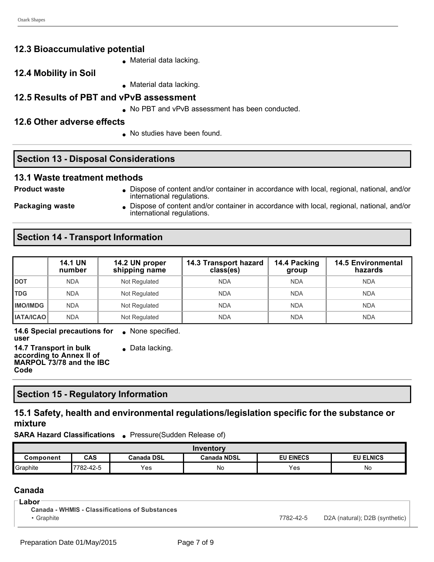#### **12.3 Bioaccumulative potential**

- $\bullet$  Material data lacking.
- **12.4 Mobility in Soil**
- $\bullet$  Material data lacking.

#### **12.5 Results of PBT and vPvB assessment**

. No PBT and vPvB assessment has been conducted.

#### **12.6 Other adverse effects**

. No studies have been found.

#### **Section 13 - Disposal Considerations**

#### **13.1 Waste treatment methods**

**Product waste lice in Accordance in accordance with local, regional, national, and/or container in accordance with local, regional, national, and/or** international regulations.

**Packaging waste I** Dispose of content and/or container in accordance with local, regional, national, and/or international regulations.

## **Section 14 - Transport Information**

|                                           | <b>14.1 UN</b><br>number | 14.2 UN proper<br>shipping name | 14.3 Transport hazard<br>class(es) | 14.4 Packing<br>group | <b>14.5 Environmental</b><br>hazards |
|-------------------------------------------|--------------------------|---------------------------------|------------------------------------|-----------------------|--------------------------------------|
| <b>DOT</b>                                | <b>NDA</b>               | Not Regulated                   | <b>NDA</b>                         | <b>NDA</b>            | <b>NDA</b>                           |
| <b>TDG</b>                                | <b>NDA</b>               | Not Regulated                   | <b>NDA</b>                         | <b>NDA</b>            | <b>NDA</b>                           |
| <b>IMO/IMDG</b>                           | <b>NDA</b>               | Not Regulated                   | <b>NDA</b>                         | <b>NDA</b>            | <b>NDA</b>                           |
| <b>IATA/ICAO</b>                          | <b>NDA</b>               | Not Regulated                   | <b>NDA</b>                         | <b>NDA</b>            | <b>NDA</b>                           |
| AAC Considerational fax<br>Nano oppoifica |                          |                                 |                                    |                       |                                      |

**14.6 Special precautions for user**  $\bullet$  None specified.

**14.7 Transport in bulk according to Annex II of MARPOL 73/78 and the IBC Code**  $\bullet$  Data lacking.

#### **Section 15 Regulatory Information**

#### **15.1 Safety, health and environmental regulations/legislation specific for the substance or mixture**

**SARA Hazard Classifications** • Pressure(Sudden Release of)

| Inventory |            |                   |                    |                  |                  |
|-----------|------------|-------------------|--------------------|------------------|------------------|
| Component | <b>CAS</b> | <b>Canada DSL</b> | <b>Canada NDSL</b> | <b>EU EINECS</b> | <b>EU ELNICS</b> |
| Graphite  | 7782-42-5  | Yes               | No                 | Yes              | No               |

## **Canada**

| Labor                                                 |           |                                |
|-------------------------------------------------------|-----------|--------------------------------|
| <b>Canada - WHMIS - Classifications of Substances</b> |           |                                |
| Graphite                                              | 7782-42-5 | D2A (natural); D2B (synthetic) |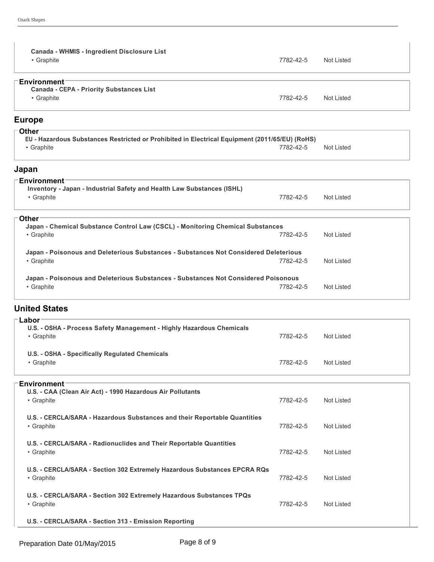| Canada - WHMIS - Ingredient Disclosure List<br>• Graphite                                                    | 7782-42-5 | <b>Not Listed</b> |
|--------------------------------------------------------------------------------------------------------------|-----------|-------------------|
| <b>Environment</b><br><b>Canada - CEPA - Priority Substances List</b><br>• Graphite                          | 7782-42-5 | <b>Not Listed</b> |
| <b>Europe</b>                                                                                                |           |                   |
| <b>Other</b>                                                                                                 |           |                   |
| EU - Hazardous Substances Restricted or Prohibited in Electrical Equipment (2011/65/EU) (RoHS)<br>• Graphite | 7782-42-5 | <b>Not Listed</b> |
| Japan                                                                                                        |           |                   |
| <b>Environment</b>                                                                                           |           |                   |
| Inventory - Japan - Industrial Safety and Health Law Substances (ISHL)<br>• Graphite                         | 7782-42-5 | <b>Not Listed</b> |
| <b>Other</b>                                                                                                 |           |                   |
| Japan - Chemical Substance Control Law (CSCL) - Monitoring Chemical Substances<br>• Graphite                 | 7782-42-5 | <b>Not Listed</b> |
|                                                                                                              |           |                   |
| Japan - Poisonous and Deleterious Substances - Substances Not Considered Deleterious<br>• Graphite           | 7782-42-5 | <b>Not Listed</b> |
| Japan - Poisonous and Deleterious Substances - Substances Not Considered Poisonous<br>• Graphite             | 7782-42-5 | <b>Not Listed</b> |
| <b>United States</b>                                                                                         |           |                   |
| Labor                                                                                                        |           |                   |
| U.S. - OSHA - Process Safety Management - Highly Hazardous Chemicals<br>• Graphite                           | 7782-42-5 | Not Listed        |
| U.S. - OSHA - Specifically Regulated Chemicals<br>• Graphite                                                 | 7782-42-5 | Not Listed        |
|                                                                                                              |           |                   |
| <b>Environment</b><br>U.S. - CAA (Clean Air Act) - 1990 Hazardous Air Pollutants<br>• Graphite               | 7782-42-5 | Not Listed        |
| U.S. - CERCLA/SARA - Hazardous Substances and their Reportable Quantities<br>• Graphite                      | 7782-42-5 | Not Listed        |
| U.S. - CERCLA/SARA - Radionuclides and Their Reportable Quantities<br>• Graphite                             | 7782-42-5 | Not Listed        |
| U.S. - CERCLA/SARA - Section 302 Extremely Hazardous Substances EPCRA RQs                                    |           |                   |

• Graphite **7782-42-5** Not Listed **U.S. CERCLA/SARA Section 302 Extremely Hazardous Substances TPQs** • Graphite **1986** Not Listed **Contract to the Contract of Contract Contract of Contract Contract Contract of Contract Contract Oriental Automobile 1996 1997 Not Listed <b>Contract Oriental Automobile 1997** 

**U.S. CERCLA/SARA Section 313 Emission Reporting**